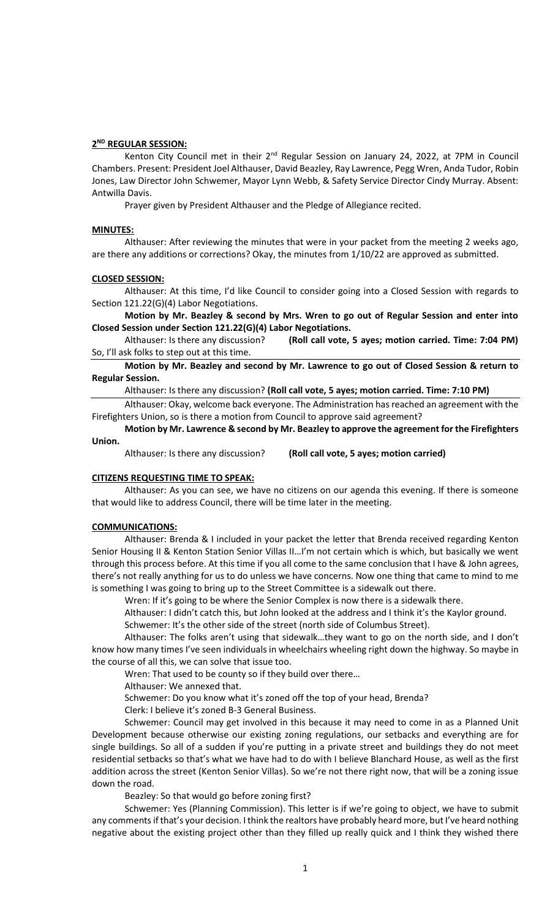### **2 ND REGULAR SESSION:**

Kenton City Council met in their 2<sup>nd</sup> Regular Session on January 24, 2022, at 7PM in Council Chambers. Present: President Joel Althauser, David Beazley, Ray Lawrence, Pegg Wren, Anda Tudor, Robin Jones, Law Director John Schwemer, Mayor Lynn Webb, & Safety Service Director Cindy Murray. Absent: Antwilla Davis.

Prayer given by President Althauser and the Pledge of Allegiance recited.

#### **MINUTES:**

Althauser: After reviewing the minutes that were in your packet from the meeting 2 weeks ago, are there any additions or corrections? Okay, the minutes from 1/10/22 are approved as submitted.

#### **CLOSED SESSION:**

Althauser: At this time, I'd like Council to consider going into a Closed Session with regards to Section 121.22(G)(4) Labor Negotiations.

**Motion by Mr. Beazley & second by Mrs. Wren to go out of Regular Session and enter into Closed Session under Section 121.22(G)(4) Labor Negotiations.**

Althauser: Is there any discussion? **(Roll call vote, 5 ayes; motion carried. Time: 7:04 PM)** So, I'll ask folks to step out at this time.

**Motion by Mr. Beazley and second by Mr. Lawrence to go out of Closed Session & return to Regular Session.**

Althauser: Is there any discussion? **(Roll call vote, 5 ayes; motion carried. Time: 7:10 PM)**

Althauser: Okay, welcome back everyone. The Administration has reached an agreement with the Firefighters Union, so is there a motion from Council to approve said agreement?

**Motion by Mr. Lawrence & second by Mr. Beazley to approve the agreement for the Firefighters Union.**

Althauser: Is there any discussion? **(Roll call vote, 5 ayes; motion carried)**

## **CITIZENS REQUESTING TIME TO SPEAK:**

Althauser: As you can see, we have no citizens on our agenda this evening. If there is someone that would like to address Council, there will be time later in the meeting.

### **COMMUNICATIONS:**

Althauser: Brenda & I included in your packet the letter that Brenda received regarding Kenton Senior Housing II & Kenton Station Senior Villas II…I'm not certain which is which, but basically we went through this process before. At this time if you all come to the same conclusion that I have & John agrees, there's not really anything for us to do unless we have concerns. Now one thing that came to mind to me is something I was going to bring up to the Street Committee is a sidewalk out there.

Wren: If it's going to be where the Senior Complex is now there is a sidewalk there.

Althauser: I didn't catch this, but John looked at the address and I think it's the Kaylor ground. Schwemer: It's the other side of the street (north side of Columbus Street).

Althauser: The folks aren't using that sidewalk…they want to go on the north side, and I don't know how many times I've seen individuals in wheelchairs wheeling right down the highway. So maybe in the course of all this, we can solve that issue too.

Wren: That used to be county so if they build over there…

Althauser: We annexed that.

Schwemer: Do you know what it's zoned off the top of your head, Brenda?

Clerk: I believe it's zoned B-3 General Business.

Schwemer: Council may get involved in this because it may need to come in as a Planned Unit Development because otherwise our existing zoning regulations, our setbacks and everything are for single buildings. So all of a sudden if you're putting in a private street and buildings they do not meet residential setbacks so that's what we have had to do with I believe Blanchard House, as well as the first addition across the street (Kenton Senior Villas). So we're not there right now, that will be a zoning issue down the road.

Beazley: So that would go before zoning first?

Schwemer: Yes (Planning Commission). This letter is if we're going to object, we have to submit any comments if that's your decision. I think the realtors have probably heard more, but I've heard nothing negative about the existing project other than they filled up really quick and I think they wished there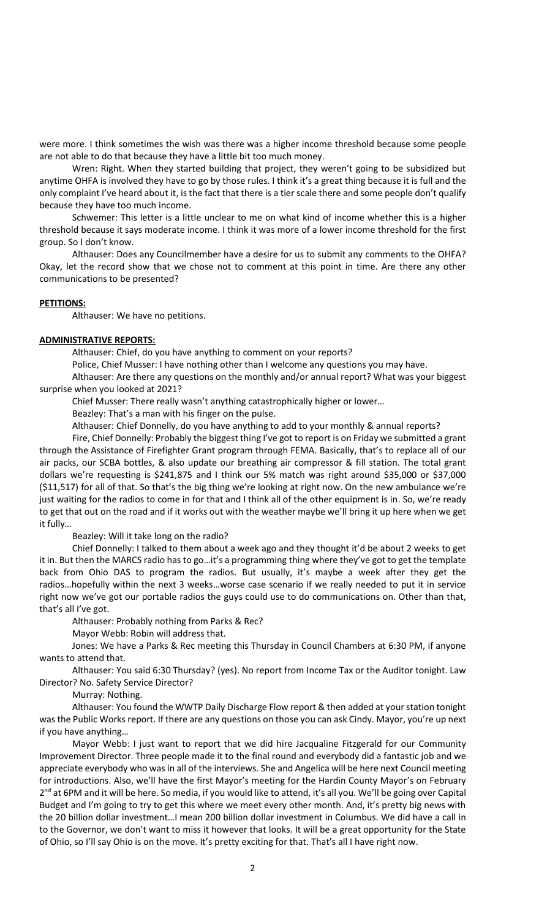were more. I think sometimes the wish was there was a higher income threshold because some people are not able to do that because they have a little bit too much money.

Wren: Right. When they started building that project, they weren't going to be subsidized but anytime OHFA is involved they have to go by those rules. I think it's a great thing because it is full and the only complaint I've heard about it, is the fact that there is a tier scale there and some people don't qualify because they have too much income.

Schwemer: This letter is a little unclear to me on what kind of income whether this is a higher threshold because it says moderate income. I think it was more of a lower income threshold for the first group. So I don't know.

Althauser: Does any Councilmember have a desire for us to submit any comments to the OHFA? Okay, let the record show that we chose not to comment at this point in time. Are there any other communications to be presented?

### **PETITIONS:**

Althauser: We have no petitions.

### **ADMINISTRATIVE REPORTS:**

Althauser: Chief, do you have anything to comment on your reports?

Police, Chief Musser: I have nothing other than I welcome any questions you may have.

Althauser: Are there any questions on the monthly and/or annual report? What was your biggest surprise when you looked at 2021?

Chief Musser: There really wasn't anything catastrophically higher or lower…

Beazley: That's a man with his finger on the pulse.

Althauser: Chief Donnelly, do you have anything to add to your monthly & annual reports?

Fire, Chief Donnelly: Probably the biggest thing I've got to report is on Friday we submitted a grant through the Assistance of Firefighter Grant program through FEMA. Basically, that's to replace all of our air packs, our SCBA bottles, & also update our breathing air compressor & fill station. The total grant dollars we're requesting is \$241,875 and I think our 5% match was right around \$35,000 or \$37,000 (\$11,517) for all of that. So that's the big thing we're looking at right now. On the new ambulance we're just waiting for the radios to come in for that and I think all of the other equipment is in. So, we're ready to get that out on the road and if it works out with the weather maybe we'll bring it up here when we get it fully…

Beazley: Will it take long on the radio?

Chief Donnelly: I talked to them about a week ago and they thought it'd be about 2 weeks to get it in. But then the MARCS radio has to go…it's a programming thing where they've got to get the template back from Ohio DAS to program the radios. But usually, it's maybe a week after they get the radios…hopefully within the next 3 weeks…worse case scenario if we really needed to put it in service right now we've got our portable radios the guys could use to do communications on. Other than that, that's all I've got.

Althauser: Probably nothing from Parks & Rec?

Mayor Webb: Robin will address that.

Jones: We have a Parks & Rec meeting this Thursday in Council Chambers at 6:30 PM, if anyone wants to attend that.

Althauser: You said 6:30 Thursday? (yes). No report from Income Tax or the Auditor tonight. Law Director? No. Safety Service Director?

Murray: Nothing.

Althauser: You found the WWTP Daily Discharge Flow report & then added at your station tonight was the Public Works report. If there are any questions on those you can ask Cindy. Mayor, you're up next if you have anything…

Mayor Webb: I just want to report that we did hire Jacqualine Fitzgerald for our Community Improvement Director. Three people made it to the final round and everybody did a fantastic job and we appreciate everybody who was in all of the interviews. She and Angelica will be here next Council meeting for introductions. Also, we'll have the first Mayor's meeting for the Hardin County Mayor's on February 2<sup>nd</sup> at 6PM and it will be here. So media, if you would like to attend, it's all you. We'll be going over Capital Budget and I'm going to try to get this where we meet every other month. And, it's pretty big news with the 20 billion dollar investment…I mean 200 billion dollar investment in Columbus. We did have a call in to the Governor, we don't want to miss it however that looks. It will be a great opportunity for the State of Ohio, so I'll say Ohio is on the move. It's pretty exciting for that. That's all I have right now.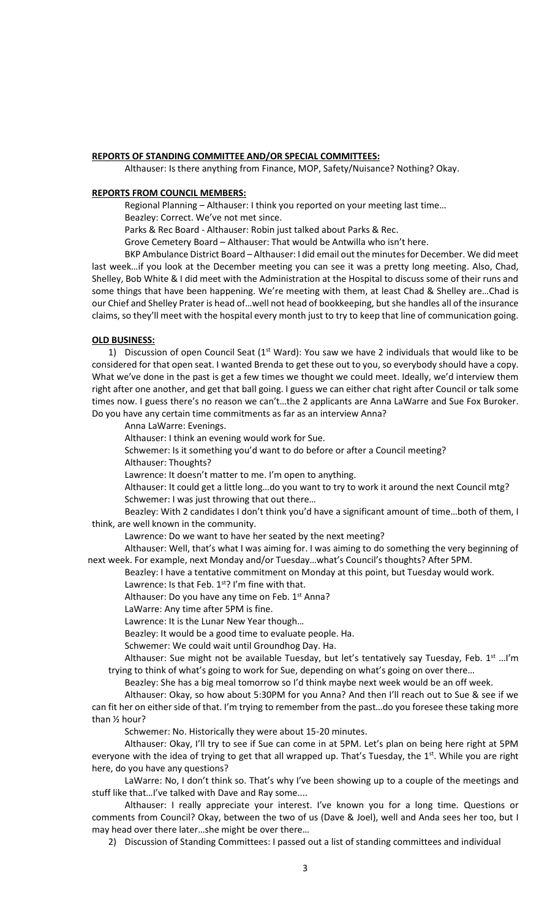### **REPORTS OF STANDING COMMITTEE AND/OR SPECIAL COMMITTEES:**

Althauser: Is there anything from Finance, MOP, Safety/Nuisance? Nothing? Okay.

#### **REPORTS FROM COUNCIL MEMBERS:**

Regional Planning – Althauser: I think you reported on your meeting last time…

Beazley: Correct. We've not met since.

Parks & Rec Board - Althauser: Robin just talked about Parks & Rec.

Grove Cemetery Board – Althauser: That would be Antwilla who isn't here.

BKP Ambulance District Board – Althauser: I did email out the minutes for December. We did meet last week…if you look at the December meeting you can see it was a pretty long meeting. Also, Chad, Shelley, Bob White & I did meet with the Administration at the Hospital to discuss some of their runs and some things that have been happening. We're meeting with them, at least Chad & Shelley are...Chad is our Chief and Shelley Prater is head of…well not head of bookkeeping, but she handles all of the insurance claims, so they'll meet with the hospital every month just to try to keep that line of communication going.

#### **OLD BUSINESS:**

1) Discussion of open Council Seat ( $1<sup>st</sup> Ward$ ): You saw we have 2 individuals that would like to be considered for that open seat. I wanted Brenda to get these out to you, so everybody should have a copy. What we've done in the past is get a few times we thought we could meet. Ideally, we'd interview them right after one another, and get that ball going. I guess we can either chat right after Council or talk some times now. I guess there's no reason we can't…the 2 applicants are Anna LaWarre and Sue Fox Buroker. Do you have any certain time commitments as far as an interview Anna?

Anna LaWarre: Evenings.

Althauser: I think an evening would work for Sue.

Schwemer: Is it something you'd want to do before or after a Council meeting?

Althauser: Thoughts?

Lawrence: It doesn't matter to me. I'm open to anything.

Althauser: It could get a little long…do you want to try to work it around the next Council mtg? Schwemer: I was just throwing that out there…

Beazley: With 2 candidates I don't think you'd have a significant amount of time…both of them, I think, are well known in the community.

Lawrence: Do we want to have her seated by the next meeting?

Althauser: Well, that's what I was aiming for. I was aiming to do something the very beginning of next week. For example, next Monday and/or Tuesday…what's Council's thoughts? After 5PM.

Beazley: I have a tentative commitment on Monday at this point, but Tuesday would work.

Lawrence: Is that Feb.  $1<sup>st</sup>$ ? I'm fine with that.

Althauser: Do you have any time on Feb.  $1<sup>st</sup>$  Anna?

LaWarre: Any time after 5PM is fine.

Lawrence: It is the Lunar New Year though…

Beazley: It would be a good time to evaluate people. Ha.

Schwemer: We could wait until Groundhog Day. Ha.

Althauser: Sue might not be available Tuesday, but let's tentatively say Tuesday, Feb.  $1^{st}$  ...!'m trying to think of what's going to work for Sue, depending on what's going on over there…

Beazley: She has a big meal tomorrow so I'd think maybe next week would be an off week.

Althauser: Okay, so how about 5:30PM for you Anna? And then I'll reach out to Sue & see if we can fit her on either side of that. I'm trying to remember from the past…do you foresee these taking more than ½ hour?

Schwemer: No. Historically they were about 15-20 minutes.

Althauser: Okay, I'll try to see if Sue can come in at 5PM. Let's plan on being here right at 5PM everyone with the idea of trying to get that all wrapped up. That's Tuesday, the 1<sup>st</sup>. While you are right here, do you have any questions?

LaWarre: No, I don't think so. That's why I've been showing up to a couple of the meetings and stuff like that…I've talked with Dave and Ray some....

Althauser: I really appreciate your interest. I've known you for a long time. Questions or comments from Council? Okay, between the two of us (Dave & Joel), well and Anda sees her too, but I may head over there later…she might be over there…

2) Discussion of Standing Committees: I passed out a list of standing committees and individual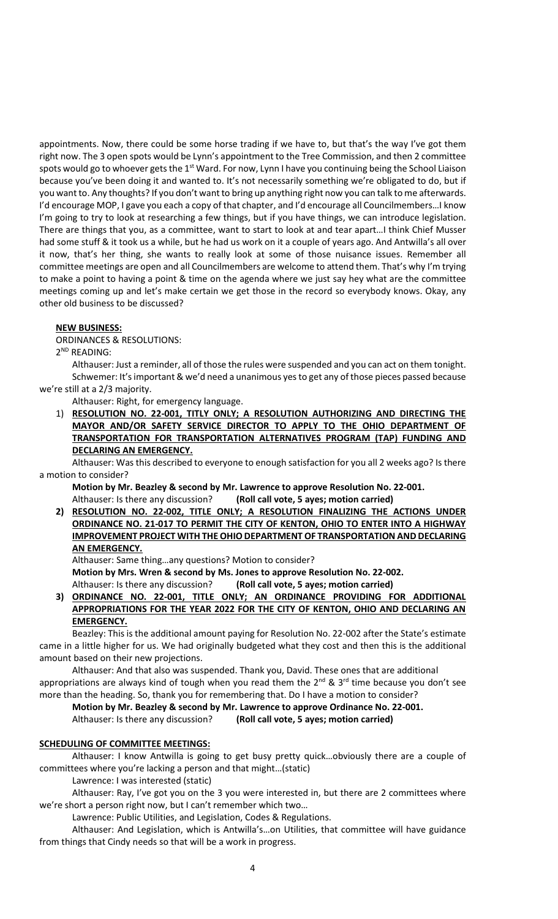appointments. Now, there could be some horse trading if we have to, but that's the way I've got them right now. The 3 open spots would be Lynn's appointment to the Tree Commission, and then 2 committee spots would go to whoever gets the 1<sup>st</sup> Ward. For now, Lynn I have you continuing being the School Liaison because you've been doing it and wanted to. It's not necessarily something we're obligated to do, but if you want to. Any thoughts? If you don't want to bring up anything right now you can talk to me afterwards. I'd encourage MOP, I gave you each a copy of that chapter, and I'd encourage all Councilmembers…I know I'm going to try to look at researching a few things, but if you have things, we can introduce legislation. There are things that you, as a committee, want to start to look at and tear apart…I think Chief Musser had some stuff & it took us a while, but he had us work on it a couple of years ago. And Antwilla's all over it now, that's her thing, she wants to really look at some of those nuisance issues. Remember all committee meetings are open and all Councilmembers are welcome to attend them. That's why I'm trying to make a point to having a point & time on the agenda where we just say hey what are the committee meetings coming up and let's make certain we get those in the record so everybody knows. Okay, any other old business to be discussed?

### **NEW BUSINESS:**

ORDINANCES & RESOLUTIONS:

2 ND READING:

Althauser: Just a reminder, all of those the rules were suspended and you can act on them tonight. Schwemer: It's important & we'd need a unanimous yes to get any of those pieces passed because we're still at a 2/3 majority.

Althauser: Right, for emergency language.

1) **RESOLUTION NO. 22-001, TITLY ONLY; A RESOLUTION AUTHORIZING AND DIRECTING THE MAYOR AND/OR SAFETY SERVICE DIRECTOR TO APPLY TO THE OHIO DEPARTMENT OF TRANSPORTATION FOR TRANSPORTATION ALTERNATIVES PROGRAM (TAP) FUNDING AND DECLARING AN EMERGENCY.**

Althauser: Was this described to everyone to enough satisfaction for you all 2 weeks ago? Is there a motion to consider?

**Motion by Mr. Beazley & second by Mr. Lawrence to approve Resolution No. 22-001.** Althauser: Is there any discussion? **(Roll call vote, 5 ayes; motion carried)**

**2) RESOLUTION NO. 22-002, TITLE ONLY; A RESOLUTION FINALIZING THE ACTIONS UNDER ORDINANCE NO. 21-017 TO PERMIT THE CITY OF KENTON, OHIO TO ENTER INTO A HIGHWAY IMPROVEMENT PROJECT WITH THE OHIO DEPARTMENT OF TRANSPORTATION AND DECLARING AN EMERGENCY.**

Althauser: Same thing…any questions? Motion to consider? **Motion by Mrs. Wren & second by Ms. Jones to approve Resolution No. 22-002.** Althauser: Is there any discussion? **(Roll call vote, 5 ayes; motion carried)**

**3) ORDINANCE NO. 22-001, TITLE ONLY; AN ORDINANCE PROVIDING FOR ADDITIONAL APPROPRIATIONS FOR THE YEAR 2022 FOR THE CITY OF KENTON, OHIO AND DECLARING AN EMERGENCY.**

Beazley: This is the additional amount paying for Resolution No. 22-002 after the State's estimate came in a little higher for us. We had originally budgeted what they cost and then this is the additional amount based on their new projections.

Althauser: And that also was suspended. Thank you, David. These ones that are additional appropriations are always kind of tough when you read them the  $2^{nd}$  &  $3^{rd}$  time because you don't see more than the heading. So, thank you for remembering that. Do I have a motion to consider?

**Motion by Mr. Beazley & second by Mr. Lawrence to approve Ordinance No. 22-001.** Althauser: Is there any discussion? **(Roll call vote, 5 ayes; motion carried)** 

## **SCHEDULING OF COMMITTEE MEETINGS:**

Althauser: I know Antwilla is going to get busy pretty quick…obviously there are a couple of committees where you're lacking a person and that might…(static)

Lawrence: I was interested (static)

Althauser: Ray, I've got you on the 3 you were interested in, but there are 2 committees where we're short a person right now, but I can't remember which two…

Lawrence: Public Utilities, and Legislation, Codes & Regulations.

Althauser: And Legislation, which is Antwilla's…on Utilities, that committee will have guidance from things that Cindy needs so that will be a work in progress.